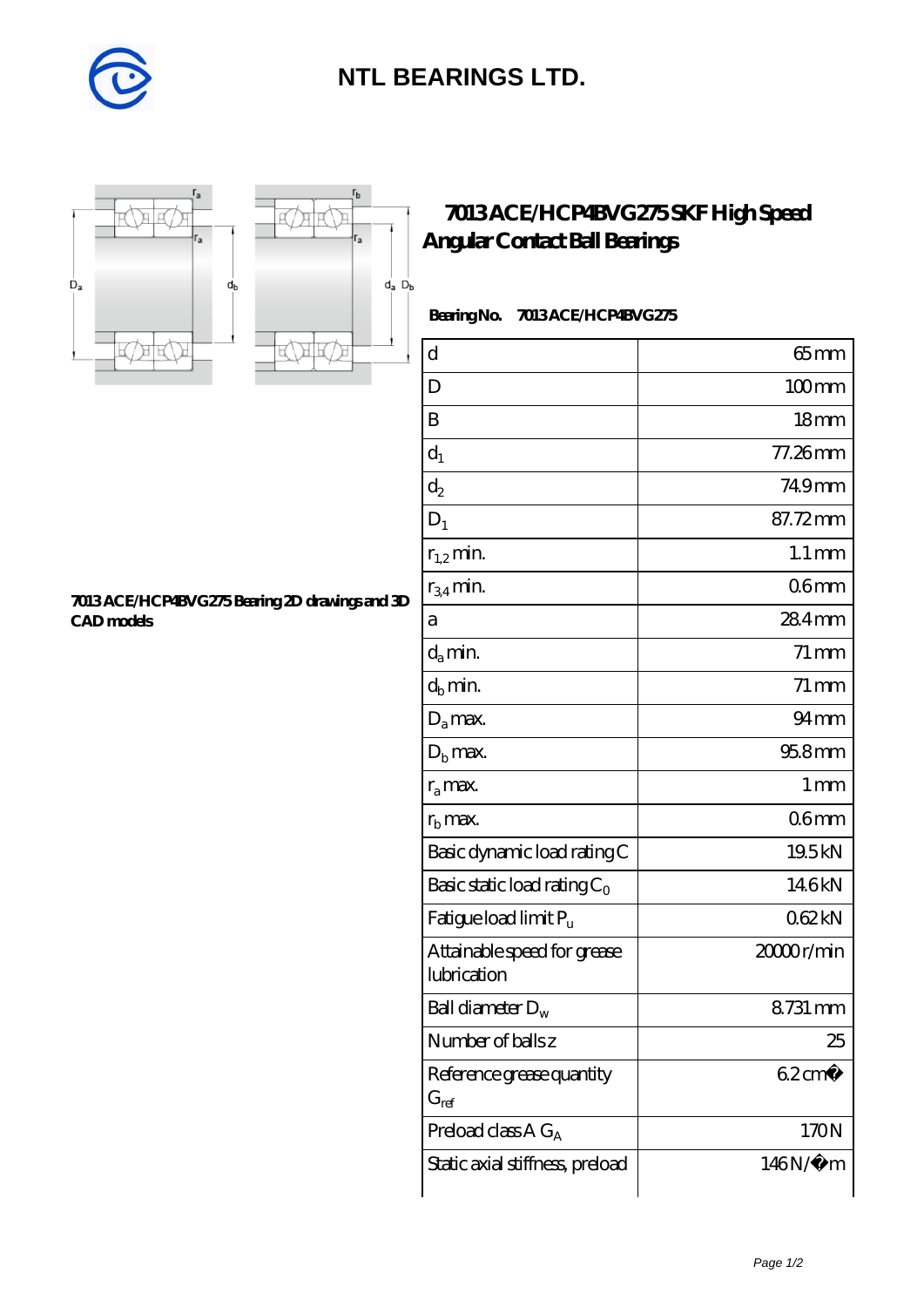

## **[NTL BEARINGS LTD.](https://diabetesfriends.net)**





r,

## **[7013 ACE/HCP4BVG275 SKF High Speed](https://diabetesfriends.net/skf-bearing/7013-ace-hcp4bvg275.html) [Angular Contact Ball Bearings](https://diabetesfriends.net/skf-bearing/7013-ace-hcp4bvg275.html)**

 **Bearing No. 7013 ACE/HCP4BVG275**

| d                                          | $65$ mm               |
|--------------------------------------------|-----------------------|
| D                                          | $100$ mm              |
| B                                          | 18 <sub>mm</sub>      |
| $d_1$                                      | 77.26mm               |
| $d_2$                                      | 749mm                 |
| $D_1$                                      | 87.72mm               |
| $r_{1,2}$ min.                             | $1.1 \,\mathrm{mm}$   |
| $r_{34}$ min.                              | 06 <sub>mm</sub>      |
| а                                          | $284$ mm              |
| $d_a$ min.                                 | $71 \,\mathrm{mm}$    |
| $d_h$ min.                                 | $71 \,\mathrm{mm}$    |
| $D_a$ max.                                 | 94 <sub>mm</sub>      |
| $Db$ max.                                  | 95.8mm                |
| $r_a$ max.                                 | 1 <sub>mm</sub>       |
| $rb$ max.                                  | 06 <sub>mm</sub>      |
| Basic dynamic load rating C                | 19.5kN                |
| Basic static load rating $C_0$             | 146kN                 |
| Fatigue load limit P <sub>u</sub>          | 062kN                 |
| Attainable speed for grease<br>lubrication | 2000 <sub>r/min</sub> |
| Ball diameter $D_w$                        | 8731 mm               |
| Number of ballsz                           | 25                    |
| Reference grease quantity<br>$G_{ref}$     | $62 \text{cm}^3$      |
| Preload class $AG_A$                       | 170N                  |
| Static axial stiffness, preload            | 146N/μ m              |

**[7013 ACE/HCP4BVG275 Bearing 2D drawings and 3D](https://diabetesfriends.net/pic-590804.html) [CAD models](https://diabetesfriends.net/pic-590804.html)**